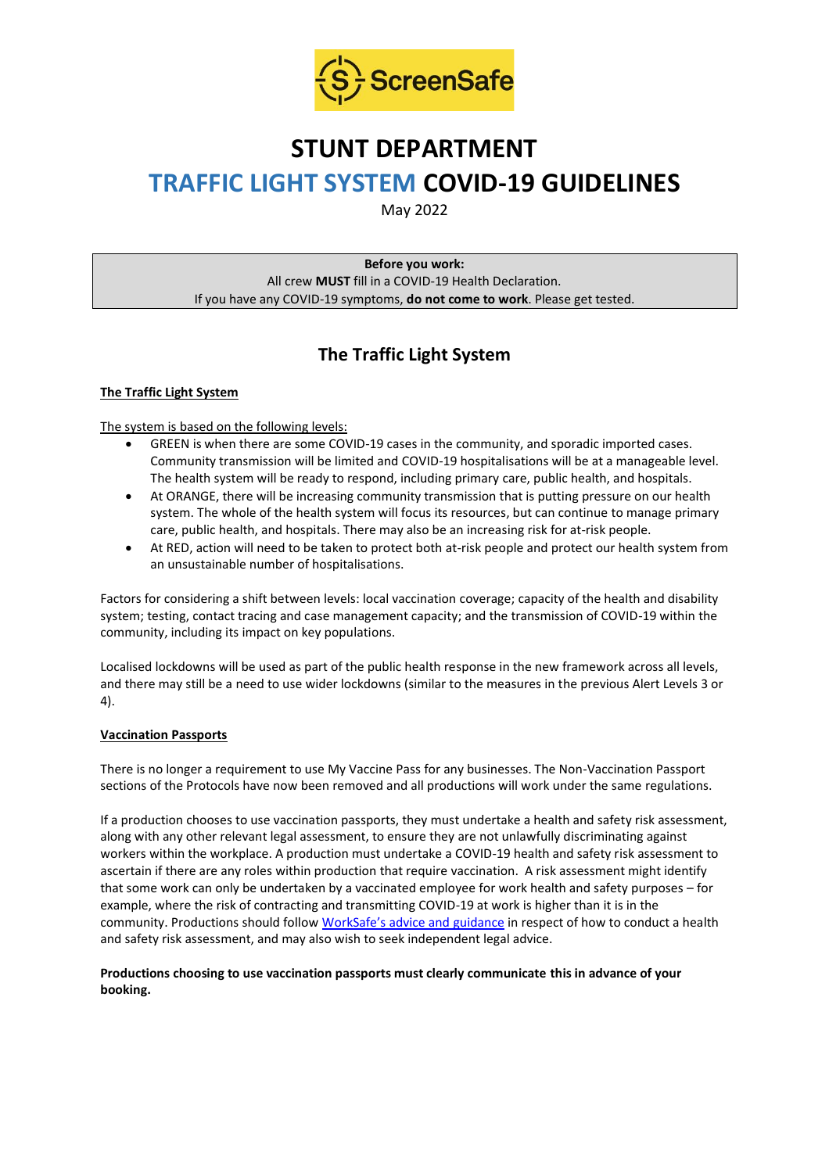

# **STUNT DEPARTMENT TRAFFIC LIGHT SYSTEM COVID-19 GUIDELINES**

May 2022

**Before you work:** All crew **MUST** fill in a COVID-19 Health Declaration. If you have any COVID-19 symptoms, **do not come to work**. Please get tested.

## **The Traffic Light System**

#### **The Traffic Light System**

The system is based on the following levels:

- GREEN is when there are some COVID-19 cases in the community, and sporadic imported cases. Community transmission will be limited and COVID-19 hospitalisations will be at a manageable level. The health system will be ready to respond, including primary care, public health, and hospitals.
- At ORANGE, there will be increasing community transmission that is putting pressure on our health system. The whole of the health system will focus its resources, but can continue to manage primary care, public health, and hospitals. There may also be an increasing risk for at-risk people.
- At RED, action will need to be taken to protect both at-risk people and protect our health system from an unsustainable number of hospitalisations.

Factors for considering a shift between levels: local vaccination coverage; capacity of the health and disability system; testing, contact tracing and case management capacity; and the transmission of COVID-19 within the community, including its impact on key populations.

Localised lockdowns will be used as part of the public health response in the new framework across all levels, and there may still be a need to use wider lockdowns (similar to the measures in the previous Alert Levels 3 or 4).

#### **Vaccination Passports**

There is no longer a requirement to use My Vaccine Pass for any businesses. The Non-Vaccination Passport sections of the Protocols have now been removed and all productions will work under the same regulations.

If a production chooses to use vaccination passports, they must undertake a health and safety risk assessment, along with any other relevant legal assessment, to ensure they are not unlawfully discriminating against workers within the workplace. A production must undertake a COVID-19 health and safety risk assessment to ascertain if there are any roles within production that require vaccination. A risk assessment might identify that some work can only be undertaken by a vaccinated employee for work health and safety purposes – for example, where the risk of contracting and transmitting COVID-19 at work is higher than it is in the community. Productions should follow [WorkSafe's advice and guidance](https://www.worksafe.govt.nz/managing-health-and-safety/novel-coronavirus-covid/covid-19-controls-at-work/) in respect of how to conduct a health and safety risk assessment, and may also wish to seek independent legal advice.

#### **Productions choosing to use vaccination passports must clearly communicate this in advance of your booking.**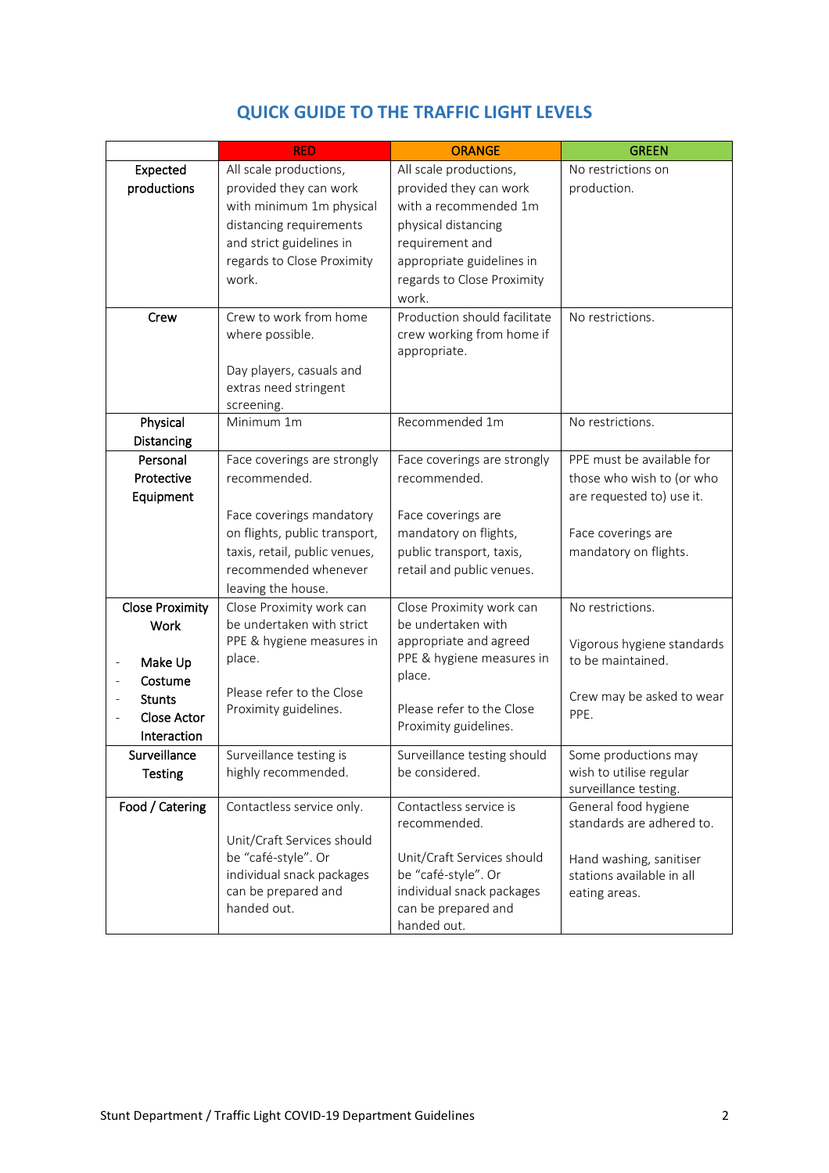|                                         | <b>RED</b>                    | <b>ORANGE</b>                | <b>GREEN</b>               |
|-----------------------------------------|-------------------------------|------------------------------|----------------------------|
| Expected                                | All scale productions,        | All scale productions,       | No restrictions on         |
| productions                             | provided they can work        | provided they can work       | production.                |
|                                         | with minimum 1m physical      | with a recommended 1m        |                            |
|                                         | distancing requirements       | physical distancing          |                            |
|                                         | and strict guidelines in      | requirement and              |                            |
|                                         | regards to Close Proximity    | appropriate guidelines in    |                            |
|                                         | work.                         | regards to Close Proximity   |                            |
|                                         |                               | work.                        |                            |
| Crew                                    | Crew to work from home        | Production should facilitate | No restrictions.           |
|                                         | where possible.               | crew working from home if    |                            |
|                                         |                               | appropriate.                 |                            |
|                                         | Day players, casuals and      |                              |                            |
|                                         | extras need stringent         |                              |                            |
|                                         | screening.                    |                              |                            |
| Physical                                | Minimum 1m                    | Recommended 1m               | No restrictions.           |
| Distancing                              |                               |                              |                            |
| Personal                                | Face coverings are strongly   | Face coverings are strongly  | PPE must be available for  |
| Protective                              | recommended.                  | recommended.                 | those who wish to (or who  |
| Equipment                               |                               |                              | are requested to) use it.  |
|                                         | Face coverings mandatory      | Face coverings are           |                            |
|                                         | on flights, public transport, | mandatory on flights,        | Face coverings are         |
|                                         | taxis, retail, public venues, | public transport, taxis,     | mandatory on flights.      |
|                                         | recommended whenever          | retail and public venues.    |                            |
|                                         | leaving the house.            |                              |                            |
| <b>Close Proximity</b>                  | Close Proximity work can      | Close Proximity work can     | No restrictions.           |
| <b>Work</b>                             | be undertaken with strict     | be undertaken with           |                            |
|                                         | PPE & hygiene measures in     | appropriate and agreed       | Vigorous hygiene standards |
| Make Up<br>$\qquad \qquad \blacksquare$ | place.                        | PPE & hygiene measures in    | to be maintained.          |
| Costume                                 |                               | place.                       |                            |
| <b>Stunts</b>                           | Please refer to the Close     |                              | Crew may be asked to wear  |
| <b>Close Actor</b>                      | Proximity guidelines.         | Please refer to the Close    | PPE.                       |
| Interaction                             |                               | Proximity guidelines.        |                            |
| Surveillance                            | Surveillance testing is       | Surveillance testing should  | Some productions may       |
| <b>Testing</b>                          | highly recommended.           | be considered.               | wish to utilise regular    |
|                                         |                               |                              | surveillance testing.      |
| Food / Catering                         | Contactless service only.     | Contactless service is       | General food hygiene       |
|                                         |                               | recommended.                 | standards are adhered to.  |
|                                         | Unit/Craft Services should    |                              |                            |
|                                         | be "café-style". Or           | Unit/Craft Services should   | Hand washing, sanitiser    |
|                                         | individual snack packages     | be "café-style". Or          | stations available in all  |
|                                         | can be prepared and           | individual snack packages    | eating areas.              |
|                                         | handed out.                   | can be prepared and          |                            |
|                                         |                               | handed out.                  |                            |

### **QUICK GUIDE TO THE TRAFFIC LIGHT LEVELS**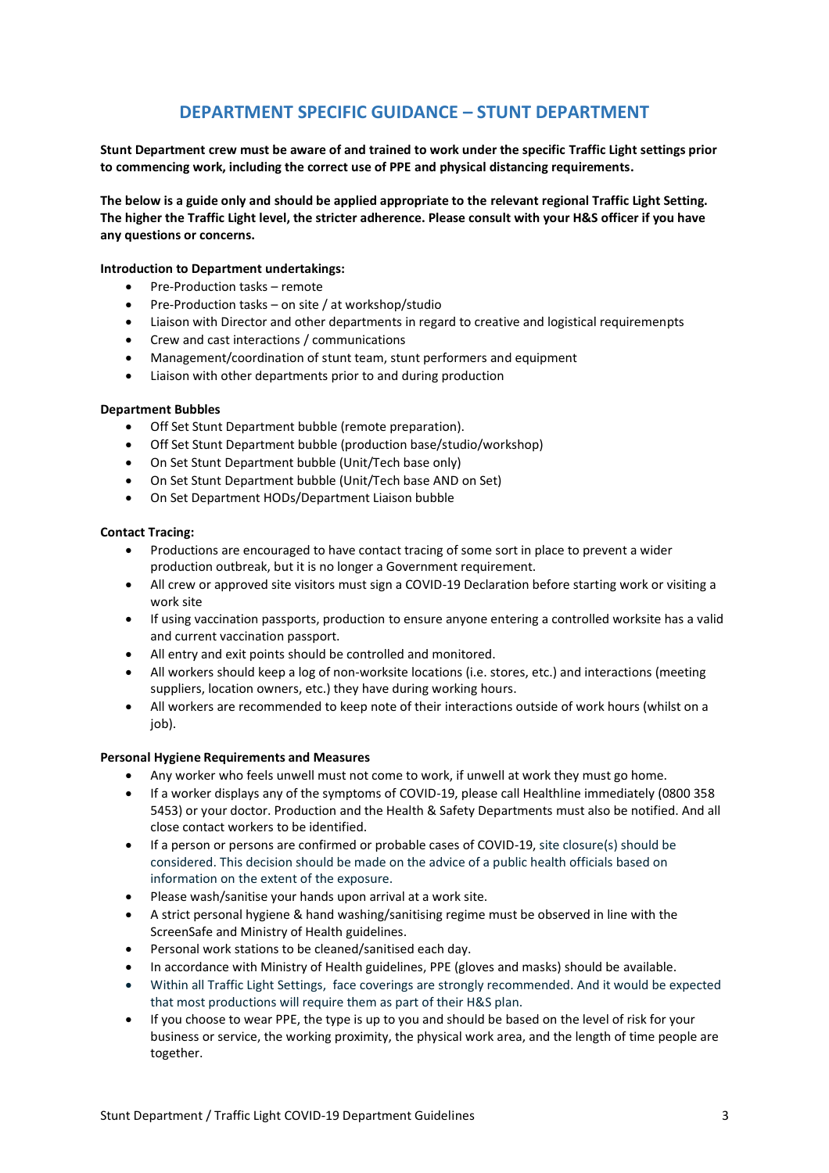### **DEPARTMENT SPECIFIC GUIDANCE – STUNT DEPARTMENT**

**Stunt Department crew must be aware of and trained to work under the specific Traffic Light settings prior to commencing work, including the correct use of PPE and physical distancing requirements.**

**The below is a guide only and should be applied appropriate to the relevant regional Traffic Light Setting. The higher the Traffic Light level, the stricter adherence. Please consult with your H&S officer if you have any questions or concerns.**

#### **Introduction to Department undertakings:**

- Pre-Production tasks remote
- Pre-Production tasks on site / at workshop/studio
- Liaison with Director and other departments in regard to creative and logistical requiremenpts
- Crew and cast interactions / communications
- Management/coordination of stunt team, stunt performers and equipment
- Liaison with other departments prior to and during production

#### **Department Bubbles**

- Off Set Stunt Department bubble (remote preparation).
- Off Set Stunt Department bubble (production base/studio/workshop)
- On Set Stunt Department bubble (Unit/Tech base only)
- On Set Stunt Department bubble (Unit/Tech base AND on Set)
- On Set Department HODs/Department Liaison bubble

#### **Contact Tracing:**

- Productions are encouraged to have contact tracing of some sort in place to prevent a wider production outbreak, but it is no longer a Government requirement.
- All crew or approved site visitors must sign a COVID-19 Declaration before starting work or visiting a work site
- If using vaccination passports, production to ensure anyone entering a controlled worksite has a valid and current vaccination passport.
- All entry and exit points should be controlled and monitored.
- All workers should keep a log of non-worksite locations (i.e. stores, etc.) and interactions (meeting suppliers, location owners, etc.) they have during working hours.
- All workers are recommended to keep note of their interactions outside of work hours (whilst on a iob).

#### **Personal Hygiene Requirements and Measures**

- Any worker who feels unwell must not come to work, if unwell at work they must go home.
- If a worker displays any of the symptoms of COVID-19, please call Healthline immediately (0800 358 5453) or your doctor. Production and the Health & Safety Departments must also be notified. And all close contact workers to be identified.
- If a person or persons are confirmed or probable cases of COVID-19, site closure(s) should be considered. This decision should be made on the advice of a public health officials based on information on the extent of the exposure.
- Please wash/sanitise your hands upon arrival at a work site.
- A strict personal hygiene & hand washing/sanitising regime must be observed in line with the ScreenSafe and Ministry of Health guidelines.
- Personal work stations to be cleaned/sanitised each day.
- In accordance with Ministry of Health guidelines, PPE (gloves and masks) should be available.
- Within all Traffic Light Settings, face coverings are strongly recommended. And it would be expected that most productions will require them as part of their H&S plan.
- If you choose to wear PPE, the type is up to you and should be based on the level of risk for your business or service, the working proximity, the physical work area, and the length of time people are together.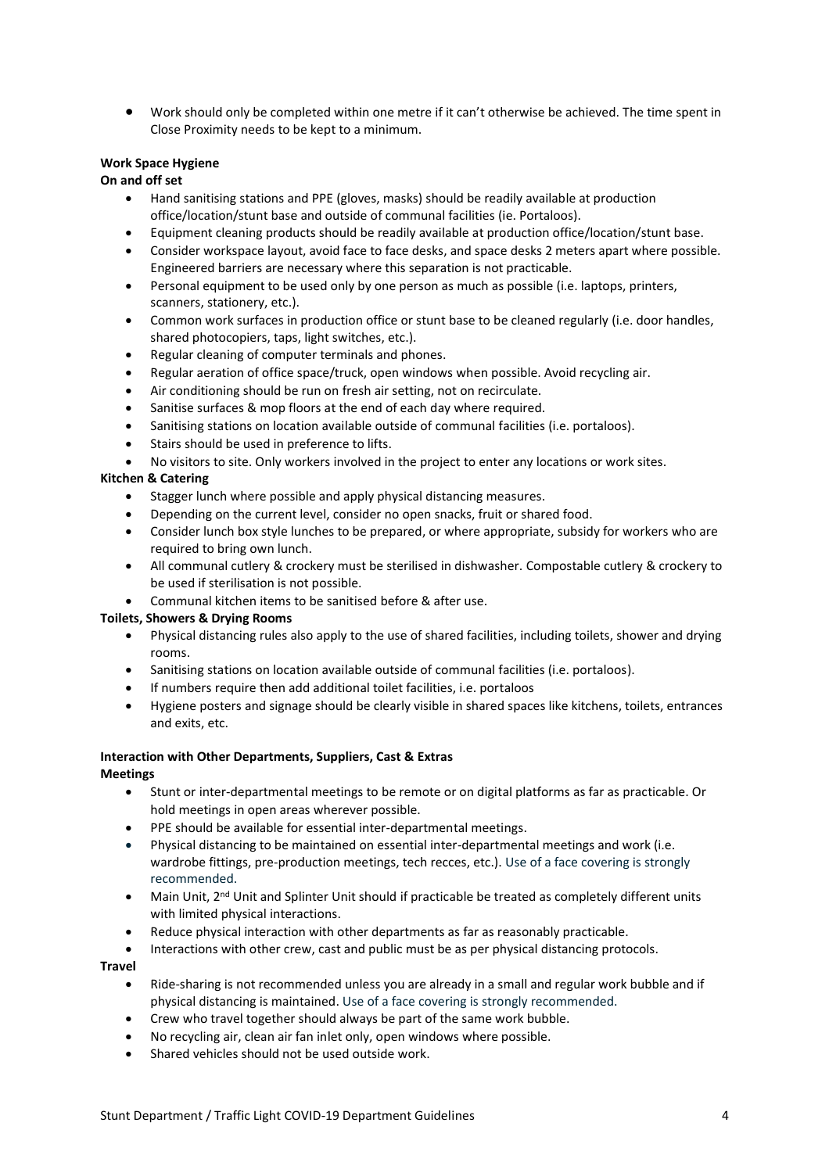• Work should only be completed within one metre if it can't otherwise be achieved. The time spent in Close Proximity needs to be kept to a minimum.

#### **Work Space Hygiene**

#### **On and off set**

- Hand sanitising stations and PPE (gloves, masks) should be readily available at production office/location/stunt base and outside of communal facilities (ie. Portaloos).
- Equipment cleaning products should be readily available at production office/location/stunt base.
- Consider workspace layout, avoid face to face desks, and space desks 2 meters apart where possible. Engineered barriers are necessary where this separation is not practicable.
- Personal equipment to be used only by one person as much as possible (i.e. laptops, printers, scanners, stationery, etc.).
- Common work surfaces in production office or stunt base to be cleaned regularly (i.e. door handles, shared photocopiers, taps, light switches, etc.).
- Regular cleaning of computer terminals and phones.
- Regular aeration of office space/truck, open windows when possible. Avoid recycling air.
- Air conditioning should be run on fresh air setting, not on recirculate.
- Sanitise surfaces & mop floors at the end of each day where required.
- Sanitising stations on location available outside of communal facilities (i.e. portaloos).
- Stairs should be used in preference to lifts.
- No visitors to site. Only workers involved in the project to enter any locations or work sites.

#### **Kitchen & Catering**

- Stagger lunch where possible and apply physical distancing measures.
- Depending on the current level, consider no open snacks, fruit or shared food.
- Consider lunch box style lunches to be prepared, or where appropriate, subsidy for workers who are required to bring own lunch.
- All communal cutlery & crockery must be sterilised in dishwasher. Compostable cutlery & crockery to be used if sterilisation is not possible.
- Communal kitchen items to be sanitised before & after use.

#### **Toilets, Showers & Drying Rooms**

- Physical distancing rules also apply to the use of shared facilities, including toilets, shower and drying rooms.
- Sanitising stations on location available outside of communal facilities (i.e. portaloos).
- If numbers require then add additional toilet facilities, i.e. portaloos
- Hygiene posters and signage should be clearly visible in shared spaces like kitchens, toilets, entrances and exits, etc.

#### **Interaction with Other Departments, Suppliers, Cast & Extras Meetings**

- Stunt or inter-departmental meetings to be remote or on digital platforms as far as practicable. Or hold meetings in open areas wherever possible.
- PPE should be available for essential inter-departmental meetings.
- Physical distancing to be maintained on essential inter-departmental meetings and work (i.e. wardrobe fittings, pre-production meetings, tech recces, etc.). Use of a face covering is strongly recommended.
- Main Unit, 2<sup>nd</sup> Unit and Splinter Unit should if practicable be treated as completely different units with limited physical interactions.
- Reduce physical interaction with other departments as far as reasonably practicable.
- Interactions with other crew, cast and public must be as per physical distancing protocols.

#### **Travel**

- Ride-sharing is not recommended unless you are already in a small and regular work bubble and if physical distancing is maintained. Use of a face covering is strongly recommended.
- Crew who travel together should always be part of the same work bubble.
- No recycling air, clean air fan inlet only, open windows where possible.
- Shared vehicles should not be used outside work.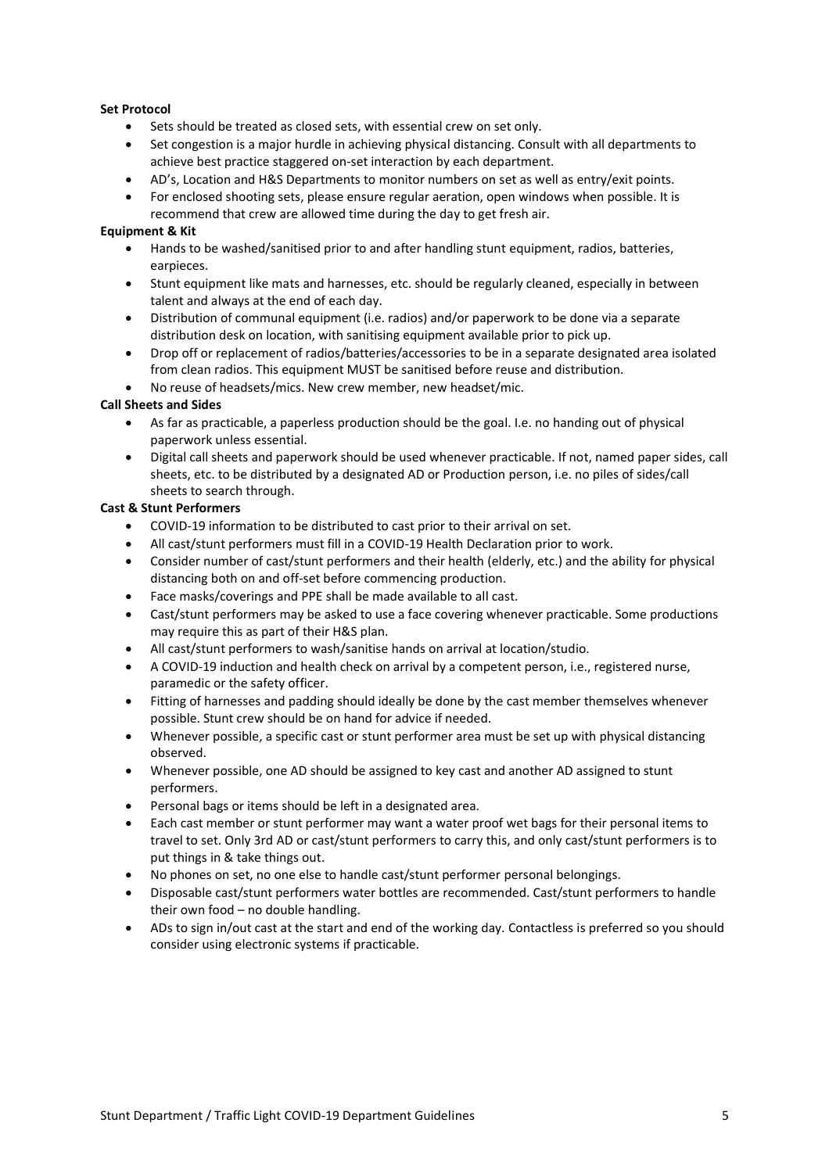#### **Set Protocol**

- Sets should be treated as closed sets, with essential crew on set only.
- Set congestion is a major hurdle in achieving physical distancing. Consult with all departments to achieve best practice staggered on-set interaction by each department.
- AD's, Location and H&S Departments to monitor numbers on set as well as entry/exit points.
- For enclosed shooting sets, please ensure regular aeration, open windows when possible. It is recommend that crew are allowed time during the day to get fresh air.

#### **Equipment & Kit**

- Hands to be washed/sanitised prior to and after handling stunt equipment, radios, batteries, earpieces.
- Stunt equipment like mats and harnesses, etc. should be regularly cleaned, especially in between talent and always at the end of each day.
- Distribution of communal equipment (i.e. radios) and/or paperwork to be done via a separate distribution desk on location, with sanitising equipment available prior to pick up.
- Drop off or replacement of radios/batteries/accessories to be in a separate designated area isolated from clean radios. This equipment MUST be sanitised before reuse and distribution.
- No reuse of headsets/mics. New crew member, new headset/mic.

#### **Call Sheets and Sides**

- As far as practicable, a paperless production should be the goal. I.e. no handing out of physical paperwork unless essential.
- Digital call sheets and paperwork should be used whenever practicable. If not, named paper sides, call sheets, etc. to be distributed by a designated AD or Production person, i.e. no piles of sides/call sheets to search through.

#### **Cast & Stunt Performers**

- COVID-19 information to be distributed to cast prior to their arrival on set.
- All cast/stunt performers must fill in a COVID-19 Health Declaration prior to work.
- Consider number of cast/stunt performers and their health (elderly, etc.) and the ability for physical distancing both on and off-set before commencing production.
- Face masks/coverings and PPE shall be made available to all cast.
- Cast/stunt performers may be asked to use a face covering whenever practicable. Some productions may require this as part of their H&S plan.
- All cast/stunt performers to wash/sanitise hands on arrival at location/studio.
- A COVID-19 induction and health check on arrival by a competent person, i.e., registered nurse, paramedic or the safety officer.
- Fitting of harnesses and padding should ideally be done by the cast member themselves whenever possible. Stunt crew should be on hand for advice if needed.
- Whenever possible, a specific cast or stunt performer area must be set up with physical distancing observed.
- Whenever possible, one AD should be assigned to key cast and another AD assigned to stunt performers.
- Personal bags or items should be left in a designated area.
- Each cast member or stunt performer may want a water proof wet bags for their personal items to travel to set. Only 3rd AD or cast/stunt performers to carry this, and only cast/stunt performers is to put things in & take things out.
- No phones on set, no one else to handle cast/stunt performer personal belongings.
- Disposable cast/stunt performers water bottles are recommended. Cast/stunt performers to handle their own food – no double handling.
- ADs to sign in/out cast at the start and end of the working day. Contactless is preferred so you should consider using electronic systems if practicable.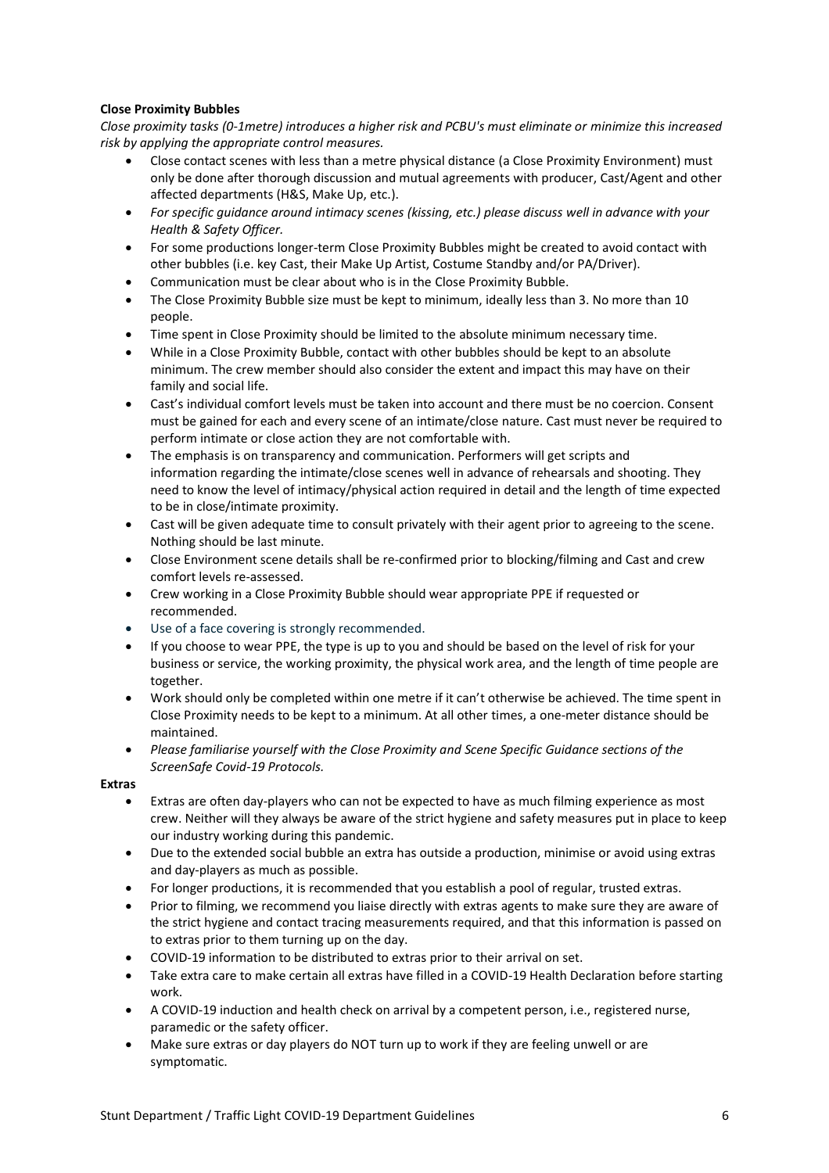#### **Close Proximity Bubbles**

*Close proximity tasks (0-1metre) introduces a higher risk and PCBU's must eliminate or minimize this increased risk by applying the appropriate control measures.* 

- Close contact scenes with less than a metre physical distance (a Close Proximity Environment) must only be done after thorough discussion and mutual agreements with producer, Cast/Agent and other affected departments (H&S, Make Up, etc.).
- *For specific guidance around intimacy scenes (kissing, etc.) please discuss well in advance with your Health & Safety Officer.*
- For some productions longer-term Close Proximity Bubbles might be created to avoid contact with other bubbles (i.e. key Cast, their Make Up Artist, Costume Standby and/or PA/Driver).
- Communication must be clear about who is in the Close Proximity Bubble.
- The Close Proximity Bubble size must be kept to minimum, ideally less than 3. No more than 10 people.
- Time spent in Close Proximity should be limited to the absolute minimum necessary time.
- While in a Close Proximity Bubble, contact with other bubbles should be kept to an absolute minimum. The crew member should also consider the extent and impact this may have on their family and social life.
- Cast's individual comfort levels must be taken into account and there must be no coercion. Consent must be gained for each and every scene of an intimate/close nature. Cast must never be required to perform intimate or close action they are not comfortable with.
- The emphasis is on transparency and communication. Performers will get scripts and information regarding the intimate/close scenes well in advance of rehearsals and shooting. They need to know the level of intimacy/physical action required in detail and the length of time expected to be in close/intimate proximity.
- Cast will be given adequate time to consult privately with their agent prior to agreeing to the scene. Nothing should be last minute.
- Close Environment scene details shall be re-confirmed prior to blocking/filming and Cast and crew comfort levels re-assessed.
- Crew working in a Close Proximity Bubble should wear appropriate PPE if requested or recommended.
- Use of a face covering is strongly recommended.
- If you choose to wear PPE, the type is up to you and should be based on the level of risk for your business or service, the working proximity, the physical work area, and the length of time people are together.
- Work should only be completed within one metre if it can't otherwise be achieved. The time spent in Close Proximity needs to be kept to a minimum. At all other times, a one-meter distance should be maintained.
- *Please familiarise yourself with the Close Proximity and Scene Specific Guidance sections of the ScreenSafe Covid-19 Protocols.*

**Extras**

- Extras are often day-players who can not be expected to have as much filming experience as most crew. Neither will they always be aware of the strict hygiene and safety measures put in place to keep our industry working during this pandemic.
- Due to the extended social bubble an extra has outside a production, minimise or avoid using extras and day-players as much as possible.
- For longer productions, it is recommended that you establish a pool of regular, trusted extras.
- Prior to filming, we recommend you liaise directly with extras agents to make sure they are aware of the strict hygiene and contact tracing measurements required, and that this information is passed on to extras prior to them turning up on the day.
- COVID-19 information to be distributed to extras prior to their arrival on set.
- Take extra care to make certain all extras have filled in a COVID-19 Health Declaration before starting work.
- A COVID-19 induction and health check on arrival by a competent person, i.e., registered nurse, paramedic or the safety officer.
- Make sure extras or day players do NOT turn up to work if they are feeling unwell or are symptomatic.